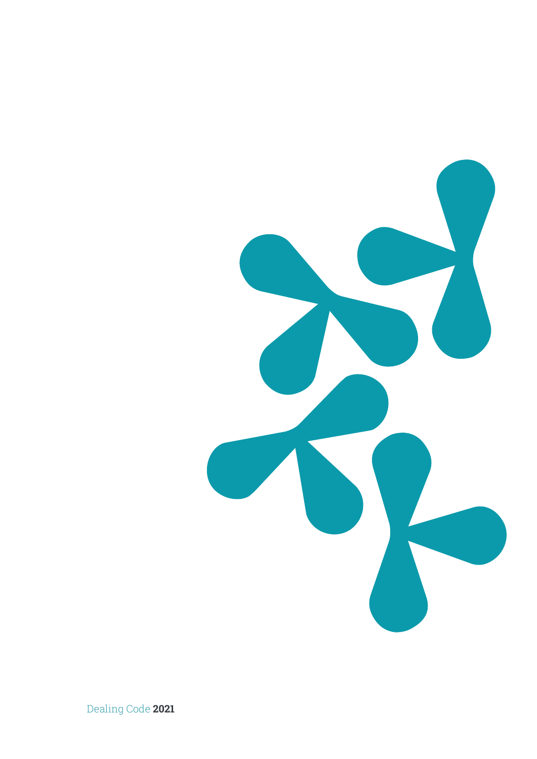

Dealing Code **2021**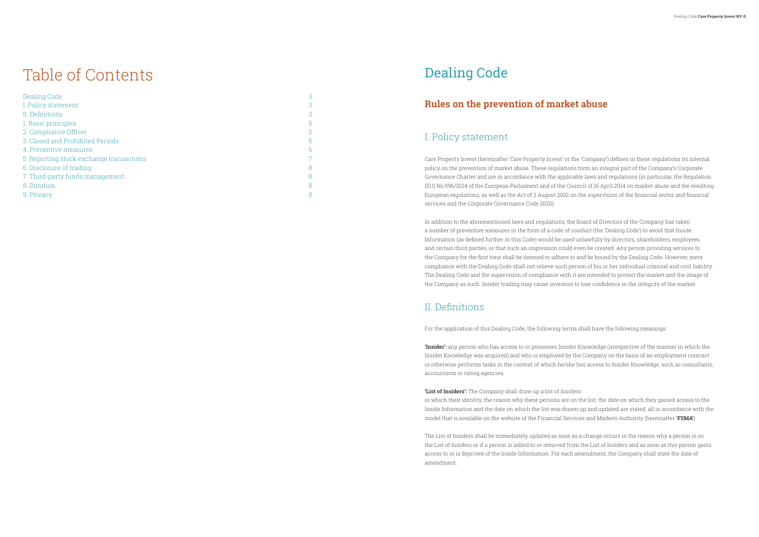# Table of Contents

| Dealing Code                             | 3 |
|------------------------------------------|---|
| I. Policy statement                      | 3 |
| II. Definitions                          | 3 |
| 1. Basic principles                      | 5 |
| 2. Compliance Officer                    | 5 |
| 3. Closed and Prohibited Periods         | 5 |
| 4. Preventive measures                   | 6 |
| 5. Reporting stock exchange transactions | 7 |
| 6. Disclosure of trading                 | 8 |
| 7. Third-party funds management          | 8 |
| 8. Duration                              | 8 |
| 9. Privacy                               | 8 |

# Dealing Code

## **Rules on the prevention of market abuse**

### I. Policy statement

Care Property Invest (hereinafter 'Care Property Invest' or the 'Company') defines in these regulations its internal policy on the prevention of market abuse. These regulations form an integral part of the Company's Corporate Governance Charter and are in accordance with the applicable laws and regulations (in particular, the Regulation (EU) No 596/2014 of the European Parliament and of the Council of 16 April 2014 on market abuse and the resulting European regulations, as well as the Act of 2 August 2002 on the supervision of the financial sector and financial services and the Corporate Governance Code 2020)

In addition to the aforementioned laws and regulations, the Board of Directors of the Company has taken a number of preventive measures in the form of a code of conduct (the 'Dealing Code') to avoid that Inside Information (as defined further in this Code) would be used unlawfully by directors, shareholders, employees and certain third parties, or that such an impression could even be created. Any person providing services to the Company for the first time shall be deemed to adhere to and be bound by the Dealing Code. However, mere compliance with the Dealing Code shall not relieve such person of his or her individual criminal and civil liability. The Dealing Code and the supervision of compliance with it are intended to protect the market and the image of the Company as such. Insider trading may cause investors to lose confidence in the integrity of the market.

### II. Definitions

For the application of this Dealing Code, the following terms shall have the following meanings:

**'Insider':** any person who has access to or possesses Insider Knowledge (irrespective of the manner in which the Insider Knowledge was acquired) and who is employed by the Company on the basis of an employment contract or otherwise performs tasks in the context of which he/she has access to Insider Knowledge, such as consultants, accountants or rating agencies.

**'List of Insiders':** The Company shall draw up a list of Insiders in which their identity, the reason why these persons are on the list, the date on which they gained access to the Inside Information and the date on which the list was drawn up and updated are stated, all in accordance with the model that is available on the website of the Financial Services and Markets Authority (hereinafter **'FSMA'**).

The List of Insiders shall be immediately updated as soon as a change occurs in the reason why a person is on the List of Insiders or if a person is added to or removed from the List of Insiders and as soon as this person gains access to or is deprived of the Inside Information. For each amendment, the Company shall state the date of amendment.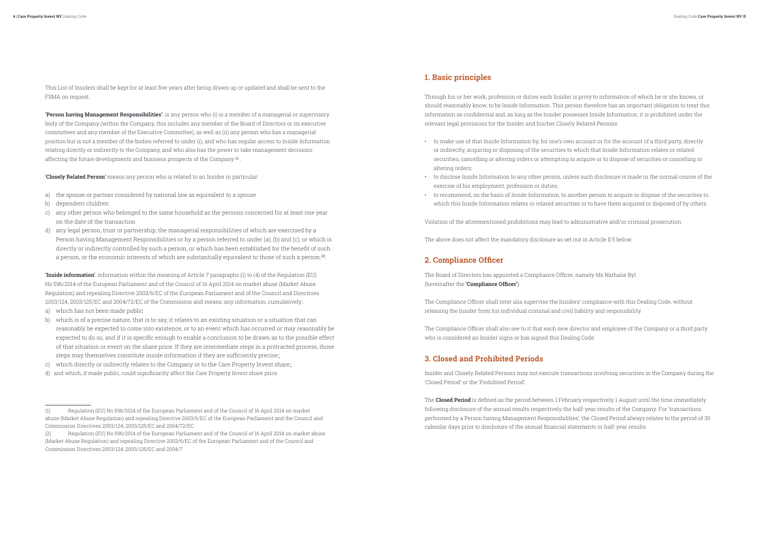<span id="page-2-0"></span>This List of Insiders shall be kept for at least five years after being drawn up or updated and shall be sent to the FSMA on request.

**'Person having Management Responsibilities'**: is any person who (i) is a member of a managerial or supervisory body of the Company (within the Company, this includes any member of the Board of Directors or its executive committees and any member of the Executive Committee), as well as (ii) any person who has a managerial position but is not a member of the bodies referred to under (i), and who has regular access to Inside Information relating directly or indirectly to the Company, and who also has the power to take management decisions affecting the future developments and business prospects of the Company (1) .

'**Closely Related Person**' means any person who is related to an Insider in particular:

- a) the spouse or partner considered by national law as equivalent to a spouse
- b) dependent children
- c) any other person who belonged to the same household as the persons concerned for at least one year on the date of the transaction
- d) any legal person, trust or partnership, the managerial responsibilities of which are exercised by a Person having Management Responsibilities or by a person referred to under (a), (b) and (c), or which is directly or indirectly controlled by such a person, or which has been established for the benefit of such a person, or the economic interests of which are substantially equivalent to those of such a person.(2).

**'Inside information'**: information within the meaning of Article 7 paragraphs (1) to (4) of the Regulation (EU) No 596/2014 of the European Parliament and of the Council of 16 April 2014 on market abuse (Market Abuse Regulation) and repealing Directive 2003/6/EC of the European Parliament and of the Council and Directives 2003/124, 2003/125/EC and 2004/72/EC of the Commission and means: any information, cumulatively::

- a) which has not been made public
- b) which is of a precise nature, that is to say, it relates to an existing situation or a situation that can reasonably be expected to come into existence, or to an event which has occurred or may reasonably be expected to do so, and if it is specific enough to enable a conclusion to be drawn as to the possible effect of that situation or event on the share price. If they are intermediate steps in a protracted process, those steps may themselves constitute inside information if they are sufficiently precise;;
- c) which directly or indirectly relates to the Company or to the Care Property Invest share;;
- d) and which, if made public, could significantly affect the Care Property Invest share price.

### **1. Basic principles**

Through his or her work, profession or duties each Insider is privy to information of which he or she knows, or should reasonably know, to be Inside Information. This person therefore has an important obligation to treat this information as confidential and, as long as the Insider possesses Inside Information, it is prohibited under the relevant legal provisions for the Insider and his/her Closely Related Persons:

- to make use of that Inside Information by, for one's own account or for the account of a third party, directly or indirectly, acquiring or disposing of the securities to which that Inside Information relates or related securities, cancelling or altering orders or attempting to acquire or to dispose of securities or cancelling or altering orders;
- exercise of his employment, profession or duties;
- which this Inside Information relates or related securities or to have them acquired or disposed of by others.

• to disclose Inside Information to any other person, unless such disclosure is made in the normal course of the

• to recommend, on the basis of Inside Information, to another person to acquire or dispose of the securities to

Violation of the aforementioned prohibitions may lead to administrative and/or criminal prosecution.

The above does not affect the mandatory disclosure as set out in Article II.5 below.

### **2. Compliance Officer**

The Board of Directors has appointed a Compliance Officer, namely Ms Nathalie Byl (hereinafter the **'Compliance Officer'**).

The Compliance Officer shall inter alia supervise the Insiders' compliance with this Dealing Code, without releasing the Insider from his individual criminal and civil liability and responsibility.

The Compliance Officer shall also see to it that each new director and employee of the Company or a third party who is considered an Insider signs or has signed this Dealing Code.

### **3. Closed and Prohibited Periods**

Insider and Closely Related Persons may not execute transactions involving securities in the Company during the 'Closed Period' or the 'Prohibited Period'.

The **Closed Period** is defined as the period between 1 February respectively 1 August until the time immediately following disclosure of the annual results respectively the half-year results of the Company. For 'transactions performed by a Person having Management Responsibilities', the Closed Period always relates to the period of 30 calendar days prior to disclosure of the annual financial statements or half-year results.

<sup>(1)</sup> Regulation (EU) No 596/2014 of the European Parliament and of the Council of 16 April 2014 on market abuse (Market Abuse Regulation) and repealing Directive 2003/6/EC of the European Parliament and the Council and Commission Directives 2003/124, 2003/125/EC and 2004/72/EC

<sup>(2)</sup> Regulation (EU) No 596/2014 of the European Parliament and of the Council of 16 April 2014 on market abuse (Market Abuse Regulation) and repealing Directive 2003/6/EC of the European Parliament and of the Council and Commission Directives 2003/124, 2003/125/EC and 2004/7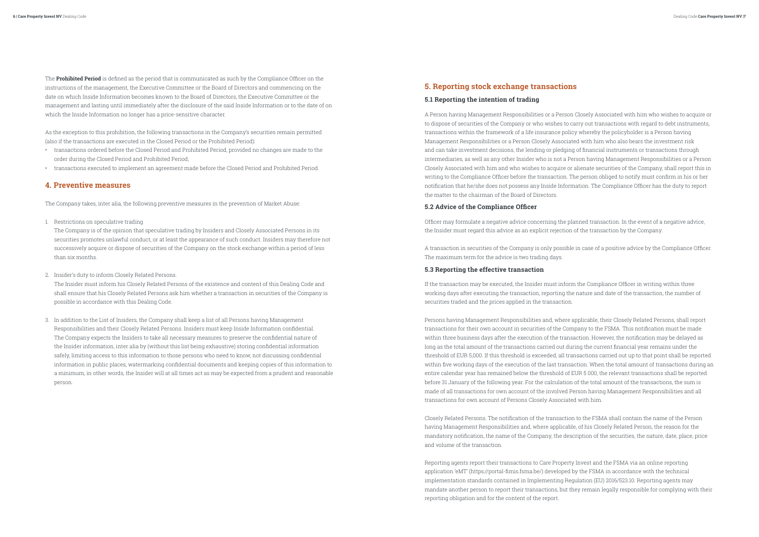<span id="page-3-0"></span>The **Prohibited Period** is defined as the period that is communicated as such by the Compliance Officer on the instructions of the management, the Executive Committee or the Board of Directors and commencing on the date on which Inside Information becomes known to the Board of Directors, the Executive Committee or the management and lasting until immediately after the disclosure of the said Inside Information or to the date of on which the Inside Information no longer has a price-sensitive character.

As the exception to this prohibition, the following transactions in the Company's securities remain permitted (also if the transactions are executed in the Closed Period or the Prohibited Period):

- transactions ordered before the Closed Period and Prohibited Period, provided no changes are made to the order during the Closed Period and Prohibited Period;
- transactions executed to implement an agreement made before the Closed Period and Prohibited Period.

### **4. Preventive measures**

The Company takes, inter alia, the following preventive measures in the prevention of Market Abuse:

1. Restrictions on speculative trading

The Company is of the opinion that speculative trading by Insiders and Closely Associated Persons in its securities promotes unlawful conduct, or at least the appearance of such conduct. Insiders may therefore not successively acquire or dispose of securities of the Company on the stock exchange within a period of less than six months.

2. Insider's duty to inform Closely Related Persons.

The Insider must inform his Closely Related Persons of the existence and content of this Dealing Code and shall ensure that his Closely Related Persons ask him whether a transaction in securities of the Company is possible in accordance with this Dealing Code.

3. In addition to the List of Insiders, the Company shall keep a list of all Persons having Management Responsibilities and their Closely Related Persons. Insiders must keep Inside Information confidential. The Company expects the Insiders to take all necessary measures to preserve the confidential nature of the Insider information, inter alia by (without this list being exhaustive) storing confidential information safely, limiting access to this information to those persons who need to know, not discussing confidential information in public places, watermarking confidential documents and keeping copies of this information to a minimum, in other words, the Insider will at all times act as may be expected from a prudent and reasonable person.

## **5. Reporting stock exchange transactions**

### **5.1 Reporting the intention of trading**

A Person having Management Responsibilities or a Person Closely Associated with him who wishes to acquire or to dispose of securities of the Company or who wishes to carry out transactions with regard to debt instruments, transactions within the framework of a life insurance policy whereby the policyholder is a Person having Management Responsibilities or a Person Closely Associated with him who also bears the investment risk and can take investment decisions, the lending or pledging of financial instruments or transactions through intermediaries, as well as any other Insider who is not a Person having Management Responsibilities or a Person Closely Associated with him and who wishes to acquire or alienate securities of the Company, shall report this in writing to the Compliance Officer before the transaction. The person obliged to notify must confirm in his or her notification that he/she does not possess any Inside Information. The Compliance Officer has the duty to report the matter to the chairman of the Board of Directors.

#### **5.2 Advice of the Compliance Officer**

Officer may formulate a negative advice concerning the planned transaction. In the event of a negative advice, the Insider must regard this advice as an explicit rejection of the transaction by the Company.

A transaction in securities of the Company is only possible in case of a positive advice by the Compliance Officer. The maximum term for the advice is two trading days.

#### **5.3 Reporting the effective transaction**

If the transaction may be executed, the Insider must inform the Compliance Officer in writing within three working days after executing the transaction, reporting the nature and date of the transaction, the number of securities traded and the prices applied in the transaction.

Persons having Management Responsibilities and, where applicable, their Closely Related Persons, shall report transactions for their own account in securities of the Company to the FSMA. This notification must be made within three business days after the execution of the transaction. However, the notification may be delayed as long as the total amount of the transactions carried out during the current financial year remains under the threshold of EUR 5,000. If this threshold is exceeded, all transactions carried out up to that point shall be reported within five working days of the execution of the last transaction. When the total amount of transactions during an entire calendar year has remained below the threshold of EUR 5 000, the relevant transactions shall be reported before 31 January of the following year. For the calculation of the total amount of the transactions, the sum is made of all transactions for own account of the involved Person having Management Responsibilities and all transactions for own account of Persons Closely Associated with him.

Closely Related Persons. The notification of the transaction to the FSMA shall contain the name of the Person having Management Responsibilities and, where applicable, of his Closely Related Person, the reason for the mandatory notification, the name of the Company, the description of the securities, the nature, date, place, price and volume of the transaction.

Reporting agents report their transactions to Care Property Invest and the FSMA via an online reporting application 'eMT' (https://portal-fimis.fsma.be/) developed by the FSMA in accordance with the technical implementation standards contained in Implementing Regulation (EU) 2016/523.10. Reporting agents may mandate another person to report their transactions, but they remain legally responsible for complying with their reporting obligation and for the content of the report.